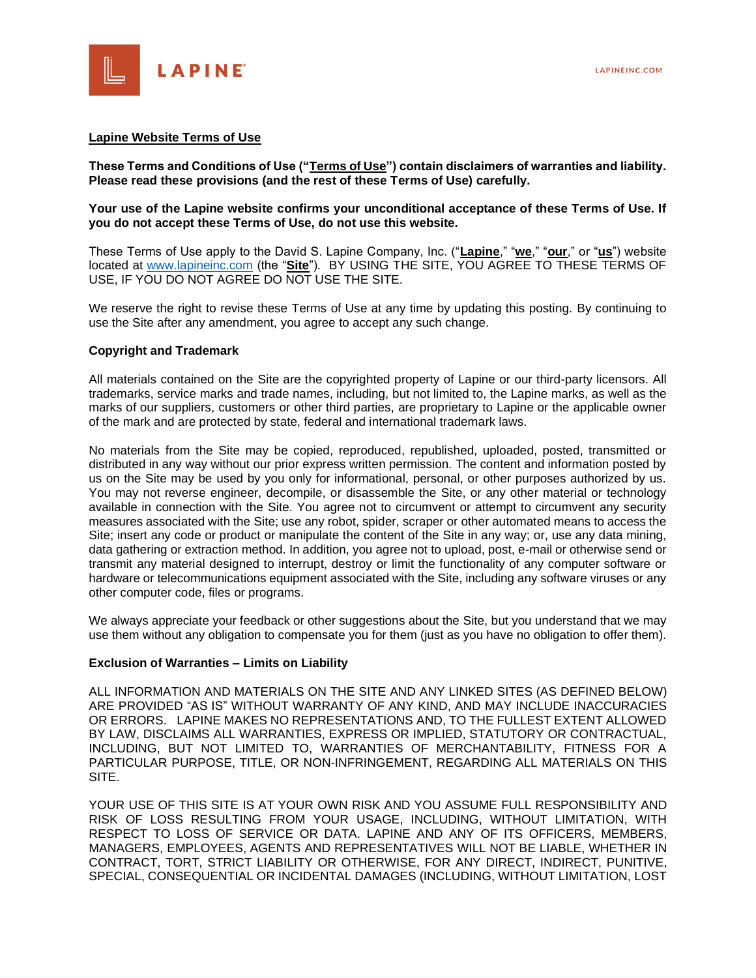

#### **Lapine Website Terms of Use**

**These Terms and Conditions of Use ("Terms of Use") contain disclaimers of warranties and liability. Please read these provisions (and the rest of these Terms of Use) carefully.**

#### **Your use of the Lapine website confirms your unconditional acceptance of these Terms of Use. If you do not accept these Terms of Use, do not use this website.**

These Terms of Use apply to the David S. Lapine Company, Inc. ("**Lapine**," "**we**," "**our**," or "**us**") website located at [www.lapineinc.com](http://www.lapineinc.com/) (the "**Site**"). BY USING THE SITE, YOU AGREE TO THESE TERMS OF USE, IF YOU DO NOT AGREE DO NOT USE THE SITE.

We reserve the right to revise these Terms of Use at any time by updating this posting. By continuing to use the Site after any amendment, you agree to accept any such change.

#### **Copyright and Trademark**

All materials contained on the Site are the copyrighted property of Lapine or our third-party licensors. All trademarks, service marks and trade names, including, but not limited to, the Lapine marks, as well as the marks of our suppliers, customers or other third parties, are proprietary to Lapine or the applicable owner of the mark and are protected by state, federal and international trademark laws.

No materials from the Site may be copied, reproduced, republished, uploaded, posted, transmitted or distributed in any way without our prior express written permission. The content and information posted by us on the Site may be used by you only for informational, personal, or other purposes authorized by us. You may not reverse engineer, decompile, or disassemble the Site, or any other material or technology available in connection with the Site. You agree not to circumvent or attempt to circumvent any security measures associated with the Site; use any robot, spider, scraper or other automated means to access the Site; insert any code or product or manipulate the content of the Site in any way; or, use any data mining, data gathering or extraction method. In addition, you agree not to upload, post, e-mail or otherwise send or transmit any material designed to interrupt, destroy or limit the functionality of any computer software or hardware or telecommunications equipment associated with the Site, including any software viruses or any other computer code, files or programs.

We always appreciate your feedback or other suggestions about the Site, but you understand that we may use them without any obligation to compensate you for them (just as you have no obligation to offer them).

#### **Exclusion of Warranties – Limits on Liability**

ALL INFORMATION AND MATERIALS ON THE SITE AND ANY LINKED SITES (AS DEFINED BELOW) ARE PROVIDED "AS IS" WITHOUT WARRANTY OF ANY KIND, AND MAY INCLUDE INACCURACIES OR ERRORS. LAPINE MAKES NO REPRESENTATIONS AND, TO THE FULLEST EXTENT ALLOWED BY LAW, DISCLAIMS ALL WARRANTIES, EXPRESS OR IMPLIED, STATUTORY OR CONTRACTUAL, INCLUDING, BUT NOT LIMITED TO, WARRANTIES OF MERCHANTABILITY, FITNESS FOR A PARTICULAR PURPOSE, TITLE, OR NON-INFRINGEMENT, REGARDING ALL MATERIALS ON THIS SITE.

YOUR USE OF THIS SITE IS AT YOUR OWN RISK AND YOU ASSUME FULL RESPONSIBILITY AND RISK OF LOSS RESULTING FROM YOUR USAGE, INCLUDING, WITHOUT LIMITATION, WITH RESPECT TO LOSS OF SERVICE OR DATA. LAPINE AND ANY OF ITS OFFICERS, MEMBERS, MANAGERS, EMPLOYEES, AGENTS AND REPRESENTATIVES WILL NOT BE LIABLE, WHETHER IN CONTRACT, TORT, STRICT LIABILITY OR OTHERWISE, FOR ANY DIRECT, INDIRECT, PUNITIVE, SPECIAL, CONSEQUENTIAL OR INCIDENTAL DAMAGES (INCLUDING, WITHOUT LIMITATION, LOST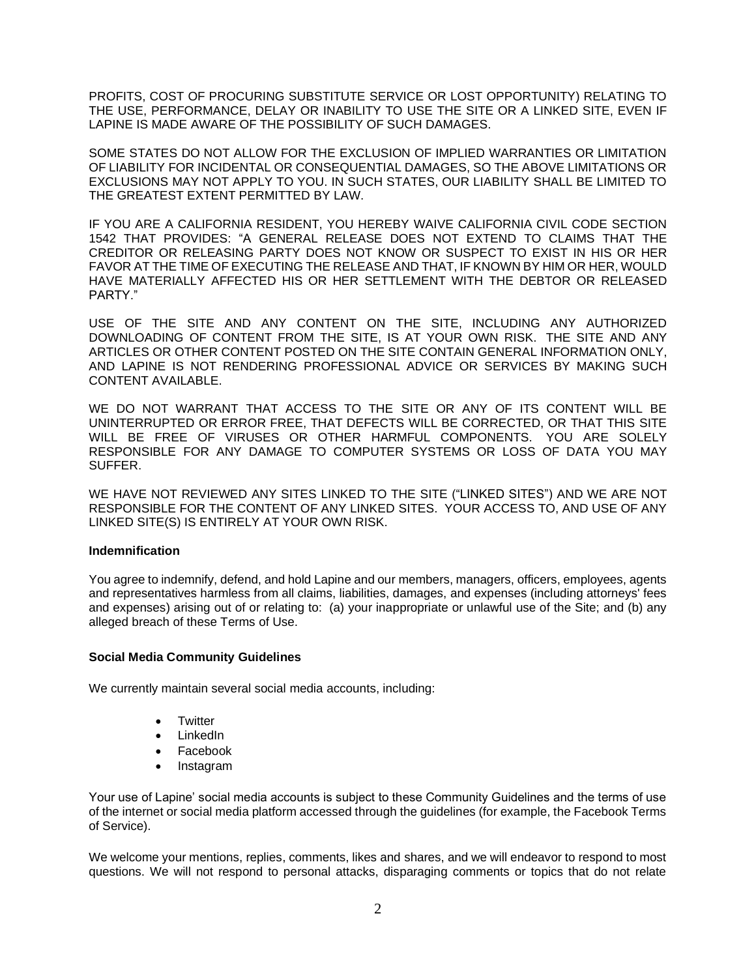PROFITS, COST OF PROCURING SUBSTITUTE SERVICE OR LOST OPPORTUNITY) RELATING TO THE USE, PERFORMANCE, DELAY OR INABILITY TO USE THE SITE OR A LINKED SITE, EVEN IF LAPINE IS MADE AWARE OF THE POSSIBILITY OF SUCH DAMAGES.

SOME STATES DO NOT ALLOW FOR THE EXCLUSION OF IMPLIED WARRANTIES OR LIMITATION OF LIABILITY FOR INCIDENTAL OR CONSEQUENTIAL DAMAGES, SO THE ABOVE LIMITATIONS OR EXCLUSIONS MAY NOT APPLY TO YOU. IN SUCH STATES, OUR LIABILITY SHALL BE LIMITED TO THE GREATEST EXTENT PERMITTED BY LAW.

IF YOU ARE A CALIFORNIA RESIDENT, YOU HEREBY WAIVE CALIFORNIA CIVIL CODE SECTION 1542 THAT PROVIDES: "A GENERAL RELEASE DOES NOT EXTEND TO CLAIMS THAT THE CREDITOR OR RELEASING PARTY DOES NOT KNOW OR SUSPECT TO EXIST IN HIS OR HER FAVOR AT THE TIME OF EXECUTING THE RELEASE AND THAT. IF KNOWN BY HIM OR HER, WOULD HAVE MATERIALLY AFFECTED HIS OR HER SETTLEMENT WITH THE DEBTOR OR RELEASED PARTY"

USE OF THE SITE AND ANY CONTENT ON THE SITE, INCLUDING ANY AUTHORIZED DOWNLOADING OF CONTENT FROM THE SITE, IS AT YOUR OWN RISK. THE SITE AND ANY ARTICLES OR OTHER CONTENT POSTED ON THE SITE CONTAIN GENERAL INFORMATION ONLY, AND LAPINE IS NOT RENDERING PROFESSIONAL ADVICE OR SERVICES BY MAKING SUCH CONTENT AVAILABLE.

WE DO NOT WARRANT THAT ACCESS TO THE SITE OR ANY OF ITS CONTENT WILL BE UNINTERRUPTED OR ERROR FREE, THAT DEFECTS WILL BE CORRECTED, OR THAT THIS SITE WILL BE FREE OF VIRUSES OR OTHER HARMFUL COMPONENTS. YOU ARE SOLELY RESPONSIBLE FOR ANY DAMAGE TO COMPUTER SYSTEMS OR LOSS OF DATA YOU MAY SUFFER.

WE HAVE NOT REVIEWED ANY SITES LINKED TO THE SITE ("LINKED SITES") AND WE ARE NOT RESPONSIBLE FOR THE CONTENT OF ANY LINKED SITES. YOUR ACCESS TO, AND USE OF ANY LINKED SITE(S) IS ENTIRELY AT YOUR OWN RISK.

# **Indemnification**

You agree to indemnify, defend, and hold Lapine and our members, managers, officers, employees, agents and representatives harmless from all claims, liabilities, damages, and expenses (including attorneys' fees and expenses) arising out of or relating to: (a) your inappropriate or unlawful use of the Site; and (b) any alleged breach of these Terms of Use.

# **Social Media Community Guidelines**

We currently maintain several social media accounts, including:

- Twitter
- LinkedIn
- Facebook
- Instagram

Your use of Lapine' social media accounts is subject to these Community Guidelines and the terms of use of the internet or social media platform accessed through the guidelines (for example, the Facebook Terms of Service).

We welcome your mentions, replies, comments, likes and shares, and we will endeavor to respond to most questions. We will not respond to personal attacks, disparaging comments or topics that do not relate